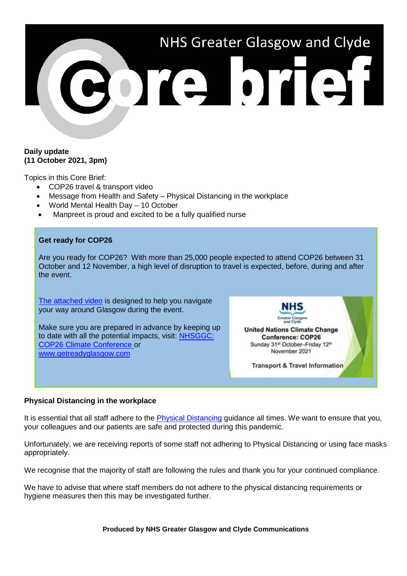

#### **Daily update (11 October 2021, 3pm)**

Topics in this Core Brief:

- COP26 travel & transport video
- Message from Health and Safety Physical Distancing in the workplace
- World Mental Health Day 10 October
- Manpreet is proud and excited to be a fully qualified nurse

### **Get ready for COP26**

Are you ready for COP26? With more than 25,000 people expected to attend COP26 between 31 October and 12 November, a high level of disruption to travel is expected, before, during and after the event.

[The attached video](https://youtu.be/XshPABt9qlE) is designed to help you navigate your way around Glasgow during the event.

Make sure you are prepared in advance by keeping up to date with all the potential impacts, visit: [NHSGGC:](https://www.nhsggc.org.uk/about-us/cop26-conference/staff-information/)  [COP26 Climate Conference](https://www.nhsggc.org.uk/about-us/cop26-conference/staff-information/) or [www.getreadyglasgow.com](http://www.getreadyglasgow.com/)

NHS **United Nations Climate Change Conference: COP26** Sunday 31st October-Friday 12th November 2021 **Transport & Travel Information** 

# **Physical Distancing in the workplace**

It is essential that all staff adhere to the [Physical Distancing](https://www.nhsggc.org.uk/your-health/health-issues/covid-19-coronavirus/for-nhsggc-staff/physical-distancing-in-the-workplace/) guidance all times. We want to ensure that you, your colleagues and our patients are safe and protected during this pandemic.

Unfortunately, we are receiving reports of some staff not adhering to Physical Distancing or using face masks appropriately.

We recognise that the majority of staff are following the rules and thank you for your continued compliance.

We have to advise that where staff members do not adhere to the physical distancing requirements or hygiene measures then this may be investigated further.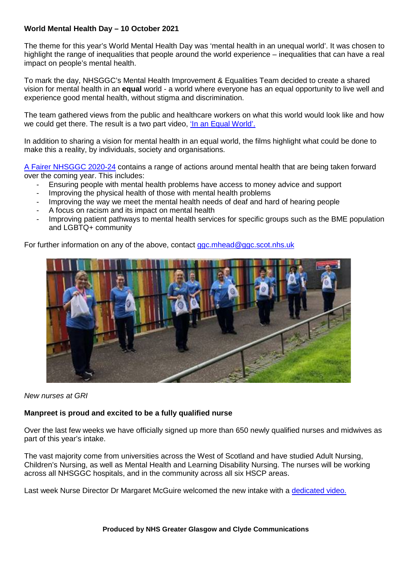## **World Mental Health Day – 10 October 2021**

The theme for this year's World Mental Health Day was 'mental health in an unequal world'. It was chosen to highlight the range of inequalities that people around the world experience – inequalities that can have a real impact on people's mental health.

To mark the day, NHSGGC's Mental Health Improvement & Equalities Team decided to create a shared vision for mental health in an **equal** world - a world where everyone has an equal opportunity to live well and experience good mental health, without stigma and discrimination.

The team gathered views from the public and healthcare workers on what this world would look like and how we could get there. The result is a two part video. ['In an Equal World'.](https://www.nhsggc.org.uk/about-us/professional-support-sites/mental-health-improvement-and-equalities/resources-and-planning-tools/resources/mental-health-in-an-equal-world/)

In addition to sharing a vision for mental health in an equal world, the films highlight what could be done to make this a reality, by individuals, society and organisations.

[A Fairer NHSGGC 2020-24](https://www.nhsggc.org.uk/media/260193/eih-a-fairer-nhs-accessible.pdf) contains a range of actions around mental health that are being taken forward over the coming year. This includes:

- Ensuring people with mental health problems have access to money advice and support
- Improving the physical health of those with mental health problems
- Improving the way we meet the mental health needs of deaf and hard of hearing people
- A focus on racism and its impact on mental health
- Improving patient pathways to mental health services for specific groups such as the BME population and LGBTQ+ community

For further information on any of the above, contact [ggc.mhead@ggc.scot.nhs.uk](mailto:ggc.mhead@ggc.scot.nhs.uk)



*New nurses at GRI*

### **Manpreet is proud and excited to be a fully qualified nurse**

Over the last few weeks we have officially signed up more than 650 newly qualified nurses and midwives as part of this year's intake.

The vast majority come from universities across the West of Scotland and have studied Adult Nursing, Children's Nursing, as well as Mental Health and Learning Disability Nursing. The nurses will be working across all NHSGGC hospitals, and in the community across all six HSCP areas.

Last week Nurse Director Dr Margaret McGuire welcomed the new intake with a [dedicated video.](https://support.microsoft.com/en-gb/office/this-website-doesn-t-work-in-internet-explorer-8f5fc675-cd47-414c-9535-12821ddfc554?ui=en-us&rs=en-gb&ad=gb)